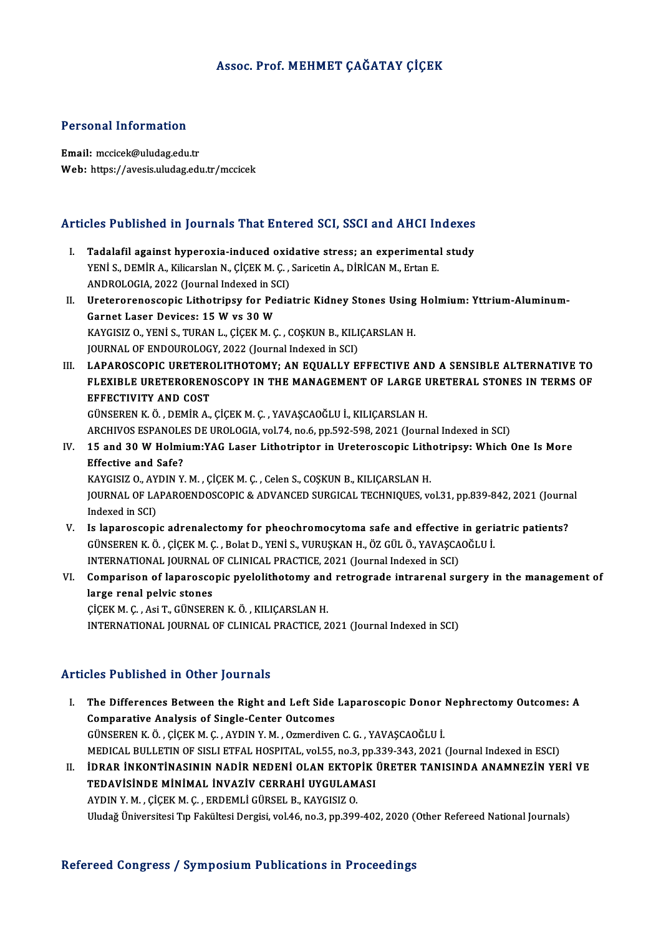## Assoc. Prof.MEHMET ÇAĞATAY ÇİÇEK

#### Personal Information

Email: mccicek@uludag.edu.tr Web: https://avesis.uludag.edu.tr/mccicek

# Articles Published in Journals That Entered SCI, SSCI and AHCI Indexes

- The Published in Journals That Entered SCI, SSCI and AHCI Indexes<br>I. Tadalafil against hyperoxia-induced oxidative stress; an experimental study<br>VENIS DEMIRA Kilicardan N. CICEKM G. Saricatin A. DIPICAN M. Ertan E I. Tadalafil against hyperoxia-induced oxidative stress; an experimental study YENİ S., DEMİR A., Kilicarslan N., ÇİÇEKM.Ç. , Saricetin A., DİRİCANM., Ertan E. Tadalafil against hyperoxia-induced oxid<br>YENİ S., DEMİR A., Kilicarslan N., ÇİÇEK M. Ç. ,<br>ANDROLOGIA, 2022 (Journal Indexed in SCI)<br>Uratararanassanis Lithatrinsy for Badia YENİ S., DEMİR A., Kilicarslan N., ÇİÇEK M. Ç. , Saricetin A., DİRİCAN M., Ertan E.<br>ANDROLOGIA, 2022 (Journal Indexed in SCI)<br>II. Ureterorenoscopic Lithotripsy for Pediatric Kidney Stones Using Holmium: Yttrium-Aluminum-<br>C
- ANDROLOGIA, 2022 (Journal Indexed in Solution<br>Ureterorenoscopic Lithotripsy for Pe<br>Garnet Laser Devices: 15 W vs 30 W<br>KAVCISIZ O VENIS TUPAN L CICEK M C Ureterorenoscopic Lithotripsy for Pediatric Kidney Stones Using<br>Garnet Laser Devices: 15 W vs 30 W<br>KAYGISIZ O., YENİ S., TURAN L., ÇİÇEK M. Ç. , COŞKUN B., KILIÇARSLAN H.<br>JOUPMAL OE ENDOUPOLOCY, 2022 (Journal Indoved in SC Garnet Laser Devices: 15 W vs 30 W<br>KAYGISIZ O., YENİ S., TURAN L., ÇİÇEK M. Ç. , COŞKUN B., KILIÇARSLAN H.<br>JOURNAL OF ENDOUROLOGY, 2022 (Journal Indexed in SCI) KAYGISIZ O., YENİ S., TURAN L., ÇİÇEK M. Ç. , COŞKUN B., KILIÇARSLAN H.<br>JOURNAL OF ENDOUROLOGY, 2022 (Journal Indexed in SCI)<br>III. LAPAROSCOPIC URETEROLITHOTOMY; AN EQUALLY EFFECTIVE AND A SENSIBLE ALTERNATIVE TO<br>ELEVIBLE
- JOURNAL OF ENDOUROLOGY, 2022 (Journal Indexed in SCI)<br>LAPAROSCOPIC URETEROLITHOTOMY; AN EQUALLY EFFECTIVE AND A SENSIBLE ALTERNATIVE TO<br>FLEXIBLE URETERORENOSCOPY IN THE MANAGEMENT OF LARGE URETERAL STONES IN TERMS OF<br>FEFEC FLEXIBLE URETERORENOSCOPY IN THE MANAGEMENT OF LARGE URETERAL STONES IN TERMS OF EFFECTIVITY AND COST GÜNSERENK.Ö. ,DEMİRA.,ÇİÇEKM.Ç. ,YAVAŞCAOĞLUİ.,KILIÇARSLANH. EFFECTIVITY AND COST<br>GÜNSEREN K. Ö. , DEMİR A., ÇİÇEK M. Ç. , YAVAŞCAOĞLU İ., KILIÇARSLAN H.<br>ARCHIVOS ESPANOLES DE UROLOGIA, vol.74, no.6, pp.592-598, 2021 (Journal Indexed in SCI)<br>15.and 30 W. Holmium:YAC I.ason I.ithotni

GÜNSEREN K. Ö. , DEMİR A., ÇİÇEK M. Ç. , YAVAŞCAOĞLU İ., KILIÇARSLAN H.<br>ARCHIVOS ESPANOLES DE UROLOGIA, vol.74, no.6, pp.592-598, 2021 (Journal Indexed in SCI)<br>IV. 15 and 30 W Holmium:YAG Laser Lithotriptor in Ureteros ARCHIVOS ESPANOLE<br>15 and 30 W Holmi<br>Effective and Safe?<br>*VANCISIZ* O AVDIN V 15 and 30 W Holmium:YAG Laser Lithotriptor in Ureteroscopic Lith<br>Effective and Safe?<br>KAYGISIZ O., AYDIN Y. M. , ÇİÇEK M. Ç. , Celen S., COŞKUN B., KILIÇARSLAN H.<br>JOUPNAL OE LABAROENDOSCOPIC & ADVANCED SURCICAL TECHNIQUES v KAYGISIZ O., AYDIN Y. M., ÇİÇEK M. Ç., Celen S., COŞKUN B., KILIÇARSLAN H.

Effective and Safe?<br>KAYGISIZ O., AYDIN Y. M. , ÇİÇEK M. Ç. , Celen S., COŞKUN B., KILIÇARSLAN H.<br>JOURNAL OF LAPAROENDOSCOPIC & ADVANCED SURGICAL TECHNIQUES, vol.31, pp.839-842, 2021 (Journal<br>Indexed in SCI) JOURNAL OF LAPAROENDOSCOPIC & ADVANCED SURGICAL TECHNIQUES, vol.31, pp.839-842, 2021 (Journal<br>Indexed in SCI)<br>V. Is laparoscopic adrenalectomy for pheochromocytoma safe and effective in geriatric patients?<br>CUNSEREN K Ö, CI

- Indexed in SCI)<br>Is laparoscopic adrenalectomy for pheochromocytoma safe and effective in geri<br>GÜNSEREN K.Ö., ÇİÇEK M. Ç., Bolat D., YENİ S., VURUŞKAN H., ÖZ GÜL Ö., YAVAŞCAOĞLU İ.<br>INTERNATIONAL JOURNAL OE GLINICAL PRACTICE Is laparoscopic adrenalectomy for pheochromocytoma safe and effective<br>GÜNSEREN K. Ö. , ÇİÇEK M. Ç. , Bolat D., YENİ S., VURUŞKAN H., ÖZ GÜL Ö., YAVAŞCA<br>INTERNATIONAL JOURNAL OF CLINICAL PRACTICE, 2021 (Journal Indexed in S GÜNSEREN K. Ö. , ÇİÇEK M. Ç. , Bolat D., YENİ S., VURUŞKAN H., ÖZ GÜL Ö., YAVAŞCAOĞLU İ.<br>INTERNATIONAL JOURNAL OF CLINICAL PRACTICE, 2021 (Journal Indexed in SCI)<br>VI. Comparison of laparoscopic pyelolithotomy and retro
- INTERNATIONAL JOURNAL<br>Comparison of laparosco<br>large renal pelvic stones<br>C<sup>icev</sup>M C Asi T C<sup>incept</sup> Comparison of laparoscopic pyelolithotomy and<br>large renal pelvic stones<br>ÇİÇEKM.Ç., Asi T., GÜNSEREN K.Ö., KILIÇARSLAN H.<br>INTERNATIONAL JOURNAL OF CLINIÇAL PRACTICE 2 large renal pelvic stones<br>ÇİÇEK M. Ç. , Asi T., GÜNSEREN K. Ö. , KILIÇARSLAN H.<br>INTERNATIONAL JOURNAL OF CLINICAL PRACTICE, 2021 (Journal Indexed in SCI)

#### Articles Published in Other Journals

rticles Published in Other Journals<br>I. The Differences Between the Right and Left Side Laparoscopic Donor Nephrectomy Outcomes: A The Differences Between the Right and Left Side<br>Comparative Analysis of Single-Center Outcomes<br>CÜNSEREN K Ö, CİCEKM C, AVDIN Y M, Ozmandiya Comparative Analysis of Single-Center Outcomes<br>GÜNSEREN K.Ö., ÇİÇEK M. Ç., AYDIN Y. M., Ozmerdiven C. G., YAVAŞCAOĞLU İ. MEDICAL BULLETIN OF SISLI ETFAL HOSPITAL, vol.55, no.3, pp.339-343, 2021 (Journal Indexed in ESCI) II. İDRAR İNKONTİNASININ NADİR NEDENİ OLAN EKTOPİK ÜRETER TANISINDA ANAMNEZİN YERİ VE MEDICAL BULLETIN OF SISLI ETFAL HOSPITAL, vol55, no.3, pp.:<br>İDRAR İNKONTİNASININ NADİR NEDENİ OLAN EKTOPİK<br>TEDAVİSİNDE MİNİMAL İNVAZİV CERRAHİ UYGULAMASI<br>AYDIN V.M., CİCEK M.C., EPDEMI İ CÜBSEL B. KAYCISIZ O İDRAR İNKONTİNASININ NADİR NEDENİ OLAN EKTOF<br>TEDAVİSİNDE MİNİMAL İNVAZİV CERRAHİ UYGULAM<br>AYDIN Y. M. , ÇİÇEK M. Ç. , ERDEMLİ GÜRSEL B., KAYGISIZ O.<br>Uludağ Üniversitesi Tın Feltültesi Dergisi vel 46 ne 3 nn 399

AYDIN Y. M. , ÇİÇEK M. Ç. , ERDEMLİ GÜRSEL B., KAYGISIZ O.<br>Uludağ Üniversitesi Tıp Fakültesi Dergisi, vol.46, no.3, pp.399-402, 2020 (Other Refereed National Journals)

#### Refereed Congress / Symposium Publications in Proceedings